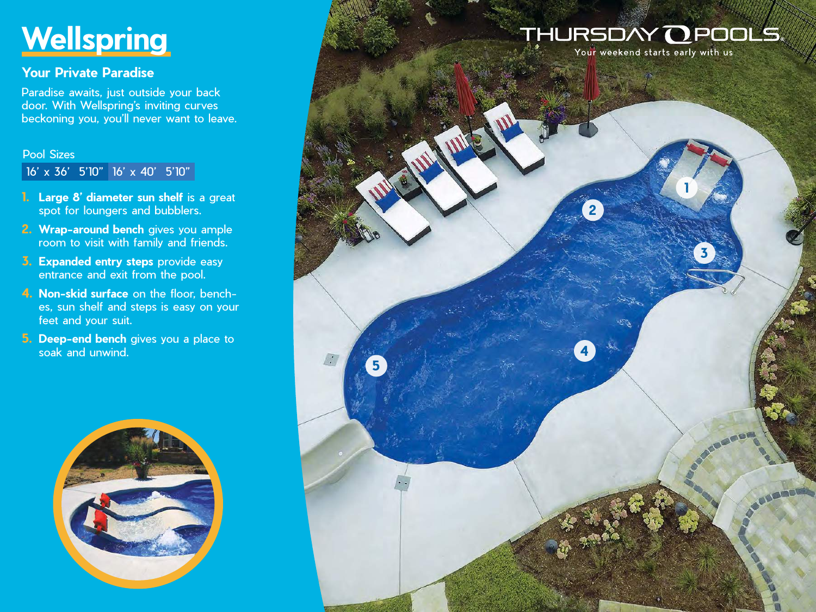# **Wellspring**

## **Your Private Paradise**

Paradise awaits, just outside your back door. With Wellspring's inviting curves beckoning you, you'll never want to leave.

#### Pool Sizes

16' x 36' 5'10" 16' x 40' 5'10"

- **1. Large 8' diameter sun shelf** is a great spot for loungers and bubblers.
- **2. Wrap-around bench** gives you ample room to visit with family and friends.
- **3. Expanded entry steps** provide easy entrance and exit from the pool.
- **4. Non-skid surface** on the floor, benches, sun shelf and steps is easy on your feet and your suit.
- **5. Deep-end bench** gives you a place to soak and unwind.



## THURSDAY **O** POOLS

**2**

**4**

**5**

 $\sqrt{2}$ 

Your weekend starts early with us

**1**

**3**

**AREADE**